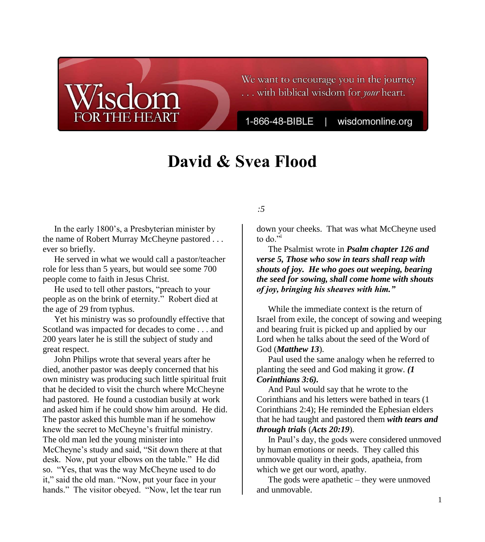## We want to encourage you in the journey ... with biblical wisdom for your heart.

1-866-48-BIBLE

wisdomonline.org

# **David & Svea Flood**

### **Legacies of Light, Part 1**

#### *Psalm 126:5*

In the early 1800's, a Presbyterian minister by the name of Robert Murray McCheyne pastored . . . ever so briefly.

 He served in what we would call a pastor/teacher role for less than 5 years, but would see some 700 people come to faith in Jesus Christ.

He used to tell other pastors, "preach to your people as on the brink of eternity." Robert died at the age of 29 from typhus.

 Yet his ministry was so profoundly effective that Scotland was impacted for decades to come . . . and 200 years later he is still the subject of study and great respect.

 John Philips wrote that several years after he died, another pastor was deeply concerned that his own ministry was producing such little spiritual fruit that he decided to visit the church where McCheyne had pastored. He found a custodian busily at work and asked him if he could show him around. He did. The pastor asked this humble man if he somehow knew the secret to McCheyne's fruitful ministry. The old man led the young minister into McCheyne's study and said, "Sit down there at that desk. Now, put your elbows on the table." He did so. "Yes, that was the way McCheyne used to do it," said the old man. "Now, put your face in your hands." The visitor obeyed. "Now, let the tear run

down your cheeks. That was what McCheyne used to do."<sup>i</sup>

 The Psalmist wrote in *Psalm chapter 126 and verse 5, Those who sow in tears shall reap with shouts of joy. He who goes out weeping, bearing the seed for sowing, shall come home with shouts of joy, bringing his sheaves with him."*

 While the immediate context is the return of Israel from exile, the concept of sowing and weeping and bearing fruit is picked up and applied by our Lord when he talks about the seed of the Word of God (*Matthew 13*).

 Paul used the same analogy when he referred to planting the seed and God making it grow. *(1 Corinthians 3:6).*

 And Paul would say that he wrote to the Corinthians and his letters were bathed in tears (1 Corinthians 2:4); He reminded the Ephesian elders that he had taught and pastored them *with tears and through trials* (*Acts 20:19*).

In Paul's day, the gods were considered unmoved by human emotions or needs. They called this unmovable quality in their gods, apatheia, from which we get our word, apathy.

 The gods were apathetic – they were unmoved and unmovable.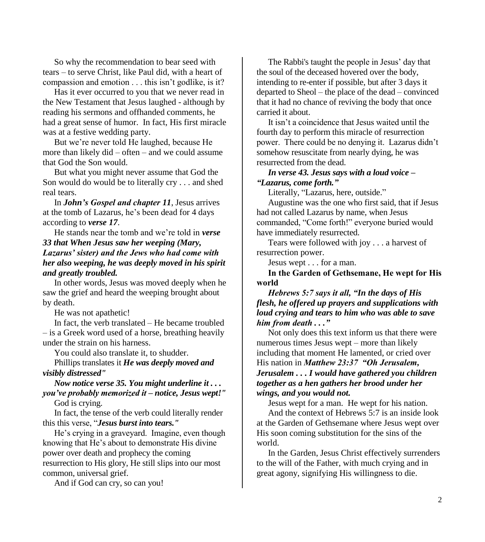So why the recommendation to bear seed with tears – to serve Christ, like Paul did, with a heart of compassion and emotion . . . this isn't godlike, is it?

 Has it ever occurred to you that we never read in the New Testament that Jesus laughed - although by reading his sermons and offhanded comments, he had a great sense of humor. In fact, His first miracle was at a festive wedding party.

 But we're never told He laughed, because He more than likely did – often – and we could assume that God the Son would.

 But what you might never assume that God the Son would do would be to literally cry . . . and shed real tears.

 In *John's Gospel and chapter 11*, Jesus arrives at the tomb of Lazarus, he's been dead for 4 days according to *verse 17*.

 He stands near the tomb and we're told in *verse 33 that When Jesus saw her weeping (Mary, Lazarus' sister) and the Jews who had come with her also weeping, he was deeply moved in his spirit and greatly troubled.*

 In other words, Jesus was moved deeply when he saw the grief and heard the weeping brought about by death.

He was not apathetic!

 In fact, the verb translated – He became troubled – is a Greek word used of a horse, breathing heavily under the strain on his harness.

You could also translate it, to shudder.

 Phillips translates it *He was deeply moved and visibly distressed"*

*Now notice verse 35. You might underline it . . . you've probably memorized it – notice, Jesus wept!"*

God is crying.

 In fact, the tense of the verb could literally render this this verse, "*Jesus burst into tears."*

He's crying in a graveyard. Imagine, even though knowing that He's about to demonstrate His divine power over death and prophecy the coming resurrection to His glory, He still slips into our most common, universal grief.

And if God can cry, so can you!

 The Rabbi's taught the people in Jesus' day that the soul of the deceased hovered over the body, intending to re-enter if possible, but after 3 days it departed to Sheol – the place of the dead – convinced that it had no chance of reviving the body that once carried it about.

It isn't a coincidence that Jesus waited until the fourth day to perform this miracle of resurrection power. There could be no denying it. Lazarus didn't somehow resuscitate from nearly dying, he was resurrected from the dead.

*In verse 43. Jesus says with a loud voice – "Lazarus, come forth."*

Literally, "Lazarus, here, outside."

 Augustine was the one who first said, that if Jesus had not called Lazarus by name, when Jesus commanded, "Come forth!" everyone buried would have immediately resurrected.

 Tears were followed with joy . . . a harvest of resurrection power.

Jesus wept . . . for a man.

**In the Garden of Gethsemane, He wept for His world** 

*Hebrews 5:7 says it all, "In the days of His flesh, he offered up prayers and supplications with loud crying and tears to him who was able to save him from death . . ."* 

 Not only does this text inform us that there were numerous times Jesus wept – more than likely including that moment He lamented, or cried over His nation in *Matthew 23:37 "Oh Jerusalem, Jerusalem . . . I would have gathered you children together as a hen gathers her brood under her wings, and you would not.* 

 Jesus wept for a man. He wept for his nation. And the context of Hebrews 5:7 is an inside look at the Garden of Gethsemane where Jesus wept over His soon coming substitution for the sins of the world.

 In the Garden, Jesus Christ effectively surrenders to the will of the Father, with much crying and in great agony, signifying His willingness to die.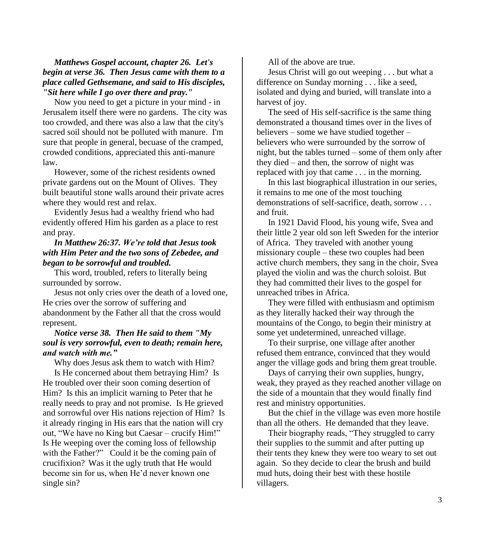*Matthews Gospel account, chapter 26. Let's begin at verse 36. Then Jesus came with them to a place called Gethsemane, and said to His disciples, "Sit here while I go over there and pray."* 

 Now you need to get a picture in your mind - in Jerusalem itself there were no gardens. The city was too crowded, and there was also a law that the city's sacred soil should not be polluted with manure. I'm sure that people in general, becuase of the cramped, crowded conditions, appreciated this anti-manure law.

 However, some of the richest residents owned private gardens out on the Mount of Olives. They built beautiful stone walls around their private acres where they would rest and relax.

 Evidently Jesus had a wealthy friend who had evidently offered Him his garden as a place to rest and pray.

#### *In Matthew 26:37. We're told that Jesus took with Him Peter and the two sons of Zebedee, and began to be sorrowful and troubled.*

 This word, troubled, refers to literally being surrounded by sorrow.

 Jesus not only cries over the death of a loved one, He cries over the sorrow of suffering and abandonment by the Father all that the cross would represent.

#### *Notice verse 38. Then He said to them "My soul is very sorrowful, even to death; remain here, and watch with me."*

Why does Jesus ask them to watch with Him?

 Is He concerned about them betraying Him? Is He troubled over their soon coming desertion of Him? Is this an implicit warning to Peter that he really needs to pray and not promise. Is He grieved and sorrowful over His nations rejection of Him? Is it already ringing in His ears that the nation will cry out, "We have no King but Caesar – crucify Him!" Is He weeping over the coming loss of fellowship with the Father?" Could it be the coming pain of crucifixion? Was it the ugly truth that He would become sin for us, when He'd never known one single sin?

All of the above are true.

 Jesus Christ will go out weeping . . . but what a difference on Sunday morning . . . like a seed, isolated and dying and buried, will translate into a harvest of joy.

 The seed of His self-sacrifice is the same thing demonstrated a thousand times over in the lives of believers – some we have studied together – believers who were surrounded by the sorrow of night, but the tables turned – some of them only after they died – and then, the sorrow of night was replaced with joy that came . . . in the morning.

 In this last biographical illustration in our series, it remains to me one of the most touching demonstrations of self-sacrifice, death, sorrow . . . and fruit.

 In 1921 David Flood, his young wife, Svea and their little 2 year old son left Sweden for the interior of Africa. They traveled with another young missionary couple – these two couples had been active church members, they sang in the choir, Svea played the violin and was the church soloist. But they had committed their lives to the gospel for unreached tribes in Africa.

 They were filled with enthusiasm and optimism as they literally hacked their way through the mountains of the Congo, to begin their ministry at some yet undetermined, unreached village.

 To their surprise, one village after another refused them entrance, convinced that they would anger the village gods and bring them great trouble.

 Days of carrying their own supplies, hungry, weak, they prayed as they reached another village on the side of a mountain that they would finally find rest and ministry opportunities.

 But the chief in the village was even more hostile than all the others. He demanded that they leave.

Their biography reads, "They struggled to carry their supplies to the summit and after putting up their tents they knew they were too weary to set out again. So they decide to clear the brush and build mud huts, doing their best with these hostile villagers.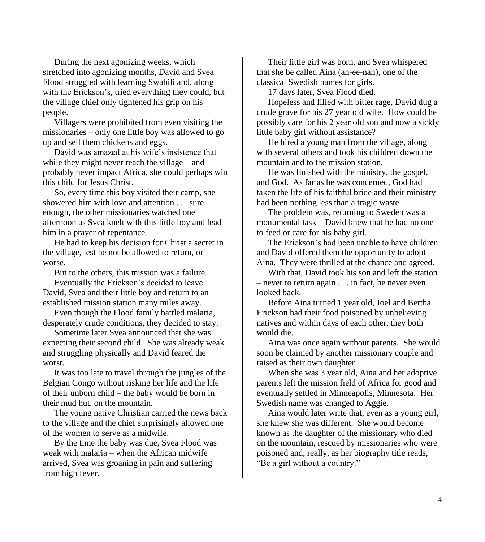During the next agonizing weeks, which stretched into agonizing months, David and Svea Flood struggled with learning Swahili and, along with the Erickson's, tried everything they could, but the village chief only tightened his grip on his people.

 Villagers were prohibited from even visiting the missionaries – only one little boy was allowed to go up and sell them chickens and eggs.

David was amazed at his wife's insistence that while they might never reach the village – and probably never impact Africa, she could perhaps win this child for Jesus Christ.

 So, every time this boy visited their camp, she showered him with love and attention . . . sure enough, the other missionaries watched one afternoon as Svea knelt with this little boy and lead him in a prayer of repentance.

 He had to keep his decision for Christ a secret in the village, lest he not be allowed to return, or worse.

But to the others, this mission was a failure.

Eventually the Erickson's decided to leave David, Svea and their little boy and return to an established mission station many miles away.

 Even though the Flood family battled malaria, desperately crude conditions, they decided to stay.

 Sometime later Svea announced that she was expecting their second child. She was already weak and struggling physically and David feared the worst.

 It was too late to travel through the jungles of the Belgian Congo without risking her life and the life of their unborn child – the baby would be born in their mud hut, on the mountain.

 The young native Christian carried the news back to the village and the chief surprisingly allowed one of the women to serve as a midwife.

 By the time the baby was due, Svea Flood was weak with malaria – when the African midwife arrived, Svea was groaning in pain and suffering from high fever.

 Their little girl was born, and Svea whispered that she be called Aina (ah-ee-nah), one of the classical Swedish names for girls.

17 days later, Svea Flood died.

 Hopeless and filled with bitter rage, David dug a crude grave for his 27 year old wife. How could he possibly care for his 2 year old son and now a sickly little baby girl without assistance?

 He hired a young man from the village, along with several others and took his children down the mountain and to the mission station.

 He was finished with the ministry, the gospel, and God. As far as he was concerned, God had taken the life of his faithful bride and their ministry had been nothing less than a tragic waste.

 The problem was, returning to Sweden was a monumental task – David knew that he had no one to feed or care for his baby girl.

The Erickson's had been unable to have children and David offered them the opportunity to adopt Aina. They were thrilled at the chance and agreed.

 With that, David took his son and left the station – never to return again . . . in fact, he never even looked back.

 Before Aina turned 1 year old, Joel and Bertha Erickson had their food poisoned by unbelieving natives and within days of each other, they both would die.

 Aina was once again without parents. She would soon be claimed by another missionary couple and raised as their own daughter.

 When she was 3 year old, Aina and her adoptive parents left the mission field of Africa for good and eventually settled in Minneapolis, Minnesota. Her Swedish name was changed to Aggie.

 Aina would later write that, even as a young girl, she knew she was different. She would become known as the daughter of the missionary who died on the mountain, rescued by missionaries who were poisoned and, really, as her biography title reads, "Be a girl without a country."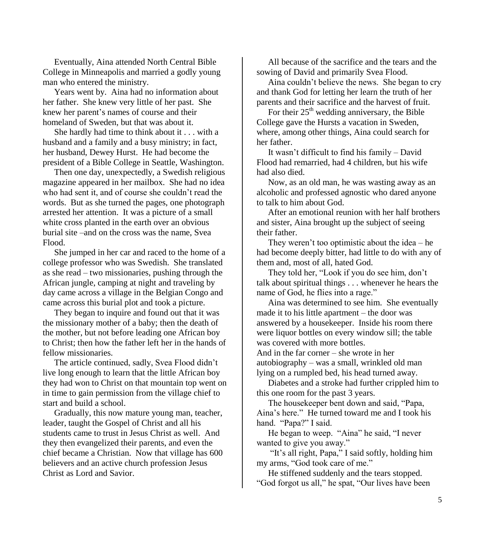Eventually, Aina attended North Central Bible College in Minneapolis and married a godly young man who entered the ministry.

 Years went by. Aina had no information about her father. She knew very little of her past. She knew her parent's names of course and their homeland of Sweden, but that was about it.

 She hardly had time to think about it . . . with a husband and a family and a busy ministry; in fact, her husband, Dewey Hurst. He had become the president of a Bible College in Seattle, Washington.

 Then one day, unexpectedly, a Swedish religious magazine appeared in her mailbox. She had no idea who had sent it, and of course she couldn't read the words. But as she turned the pages, one photograph arrested her attention. It was a picture of a small white cross planted in the earth over an obvious burial site –and on the cross was the name, Svea Flood.

 She jumped in her car and raced to the home of a college professor who was Swedish. She translated as she read – two missionaries, pushing through the African jungle, camping at night and traveling by day came across a village in the Belgian Congo and came across this burial plot and took a picture.

 They began to inquire and found out that it was the missionary mother of a baby; then the death of the mother, but not before leading one African boy to Christ; then how the father left her in the hands of fellow missionaries.

 The article continued, sadly, Svea Flood didn't live long enough to learn that the little African boy they had won to Christ on that mountain top went on in time to gain permission from the village chief to start and build a school.

 Gradually, this now mature young man, teacher, leader, taught the Gospel of Christ and all his students came to trust in Jesus Christ as well. And they then evangelized their parents, and even the chief became a Christian. Now that village has 600 believers and an active church profession Jesus Christ as Lord and Savior.

 All because of the sacrifice and the tears and the sowing of David and primarily Svea Flood.

 Aina couldn't believe the news. She began to cry and thank God for letting her learn the truth of her parents and their sacrifice and the harvest of fruit.

For their  $25<sup>th</sup>$  wedding anniversary, the Bible College gave the Hursts a vacation in Sweden, where, among other things, Aina could search for her father.

It wasn't difficult to find his family – David Flood had remarried, had 4 children, but his wife had also died.

 Now, as an old man, he was wasting away as an alcoholic and professed agnostic who dared anyone to talk to him about God.

 After an emotional reunion with her half brothers and sister, Aina brought up the subject of seeing their father.

They weren't too optimistic about the idea – he had become deeply bitter, had little to do with any of them and, most of all, hated God.

They told her, "Look if you do see him, don't talk about spiritual things . . . whenever he hears the name of God, he flies into a rage."

 Aina was determined to see him. She eventually made it to his little apartment – the door was answered by a housekeeper. Inside his room there were liquor bottles on every window sill; the table was covered with more bottles.

And in the far corner – she wrote in her autobiography – was a small, wrinkled old man lying on a rumpled bed, his head turned away.

 Diabetes and a stroke had further crippled him to this one room for the past 3 years.

The housekeeper bent down and said, "Papa, Aina's here." He turned toward me and I took his hand. "Papa?" I said.

He began to weep. "Aina" he said, "I never wanted to give you away."

 "It's all right, Papa," I said softly, holding him my arms, "God took care of me."

 He stiffened suddenly and the tears stopped. "God forgot us all," he spat, "Our lives have been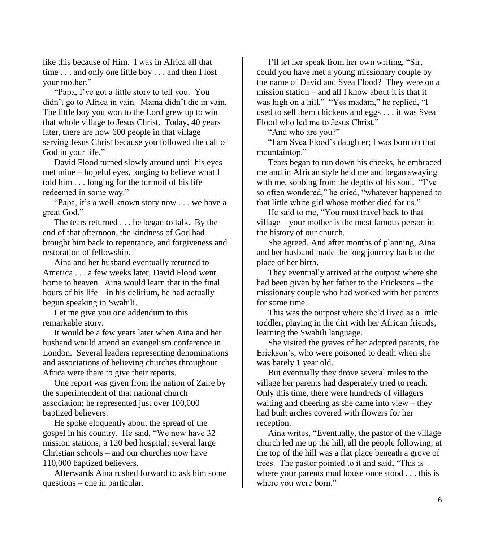like this because of Him. I was in Africa all that time . . . and only one little boy . . . and then I lost your mother."

"Papa, I've got a little story to tell you. You didn't go to Africa in vain. Mama didn't die in vain. The little boy you won to the Lord grew up to win that whole village to Jesus Christ. Today, 40 years later, there are now 600 people in that village serving Jesus Christ because you followed the call of God in your life."

 David Flood turned slowly around until his eyes met mine – hopeful eyes, longing to believe what I told him . . . longing for the turmoil of his life redeemed in some way."

"Papa, it's a well known story now . . . we have a great God."

 The tears returned . . . he began to talk. By the end of that afternoon, the kindness of God had brought him back to repentance, and forgiveness and restoration of fellowship.

 Aina and her husband eventually returned to America . . . a few weeks later, David Flood went home to heaven. Aina would learn that in the final hours of his life – in his delirium, he had actually begun speaking in Swahili.

 Let me give you one addendum to this remarkable story.

 It would be a few years later when Aina and her husband would attend an evangelism conference in London. Several leaders representing denominations and associations of believing churches throughout Africa were there to give their reports.

 One report was given from the nation of Zaire by the superintendent of that national church association; he represented just over 100,000 baptized believers.

 He spoke eloquently about the spread of the gospel in his country. He said, "We now have 32 mission stations; a 120 bed hospital; several large Christian schools – and our churches now have 110,000 baptized believers.

 Afterwards Aina rushed forward to ask him some questions – one in particular.

I'll let her speak from her own writing, "Sir, could you have met a young missionary couple by the name of David and Svea Flood? They were on a mission station – and all I know about it is that it was high on a hill." "Yes madam," he replied, "I used to sell them chickens and eggs . . . it was Svea Flood who led me to Jesus Christ."

"And who are you?"

"I am Svea Flood's daughter; I was born on that mountaintop."

 Tears began to run down his cheeks, he embraced me and in African style held me and began swaying with me, sobbing from the depths of his soul. "I've so often wondered," he cried, "whatever happened to that little white girl whose mother died for us."

He said to me, "You must travel back to that village – your mother is the most famous person in the history of our church.

 She agreed. And after months of planning, Aina and her husband made the long journey back to the place of her birth.

 They eventually arrived at the outpost where she had been given by her father to the Ericksons – the missionary couple who had worked with her parents for some time.

 This was the outpost where she'd lived as a little toddler, playing in the dirt with her African friends, learning the Swahili language.

 She visited the graves of her adopted parents, the Erickson's, who were poisoned to death when she was barely 1 year old.

 But eventually they drove several miles to the village her parents had desperately tried to reach. Only this time, there were hundreds of villagers waiting and cheering as she came into view – they had built arches covered with flowers for her reception.

Aina writes, "Eventually, the pastor of the village church led me up the hill, all the people following; at the top of the hill was a flat place beneath a grove of trees. The pastor pointed to it and said, "This is where your parents mud house once stood . . . this is where you were born."